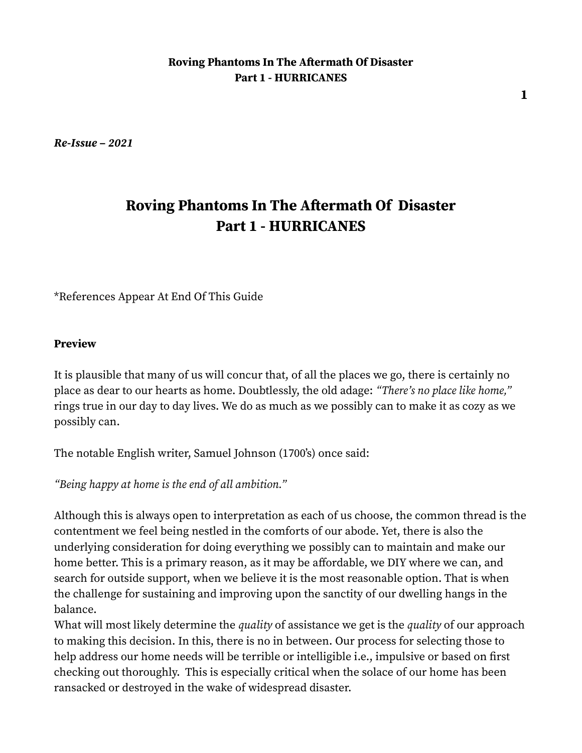*Re-Issue – 2021*

# **Roving Phantoms In The Aftermath Of Disaster Part 1 - HURRICANES**

\*References Appear At End Of This Guide

#### **Preview**

It is plausible that many of us will concur that, of all the places we go, there is certainly no place as dear to our hearts as home. Doubtlessly, the old adage: *"There's no place like home,"* rings true in our day to day lives. We do as much as we possibly can to make it as cozy as we possibly can.

The notable English writer, Samuel Johnson (1700's) once said:

*"Being happy at home is the end of all ambition."* 

Although this is always open to interpretation as each of us choose, the common thread is the contentment we feel being nestled in the comforts of our abode. Yet, there is also the underlying consideration for doing everything we possibly can to maintain and make our home better. This is a primary reason, as it may be affordable, we DIY where we can, and search for outside support, when we believe it is the most reasonable option. That is when the challenge for sustaining and improving upon the sanctity of our dwelling hangs in the balance.

What will most likely determine the *quality* of assistance we get is the *quality* of our approach to making this decision. In this, there is no in between. Our process for selecting those to help address our home needs will be terrible or intelligible i.e., impulsive or based on first checking out thoroughly. This is especially critical when the solace of our home has been ransacked or destroyed in the wake of widespread disaster.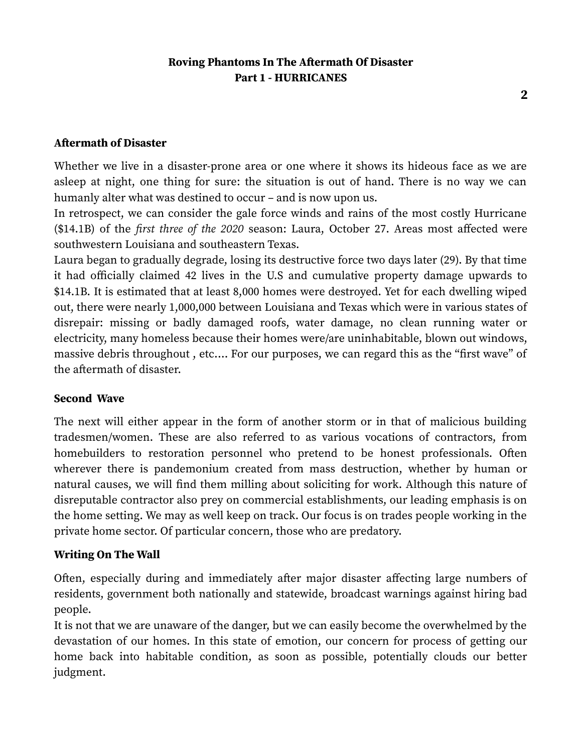#### **Aftermath of Disaster**

Whether we live in a disaster-prone area or one where it shows its hideous face as we are asleep at night, one thing for sure: the situation is out of hand. There is no way we can humanly alter what was destined to occur – and is now upon us.

In retrospect, we can consider the gale force winds and rains of the most costly Hurricane (\$14.1B) of the *first three of the 2020* season: Laura, October 27. Areas most affected were southwestern Louisiana and southeastern Texas.

Laura began to gradually degrade, losing its destructive force two days later (29). By that time it had officially claimed 42 lives in the U.S and cumulative property damage upwards to \$14.1B. It is estimated that at least 8,000 homes were destroyed. Yet for each dwelling wiped out, there were nearly 1,000,000 between Louisiana and Texas which were in various states of disrepair: missing or badly damaged roofs, water damage, no clean running water or electricity, many homeless because their homes were/are uninhabitable, blown out windows, massive debris throughout , etc.… For our purposes, we can regard this as the "first wave" of the aftermath of disaster.

#### **Second Wave**

The next will either appear in the form of another storm or in that of malicious building tradesmen/women. These are also referred to as various vocations of contractors, from homebuilders to restoration personnel who pretend to be honest professionals. Often wherever there is pandemonium created from mass destruction, whether by human or natural causes, we will find them milling about soliciting for work. Although this nature of disreputable contractor also prey on commercial establishments, our leading emphasis is on the home setting. We may as well keep on track. Our focus is on trades people working in the private home sector. Of particular concern, those who are predatory.

#### **Writing On The Wall**

Often, especially during and immediately after major disaster affecting large numbers of residents, government both nationally and statewide, broadcast warnings against hiring bad people.

It is not that we are unaware of the danger, but we can easily become the overwhelmed by the devastation of our homes. In this state of emotion, our concern for process of getting our home back into habitable condition, as soon as possible, potentially clouds our better judgment.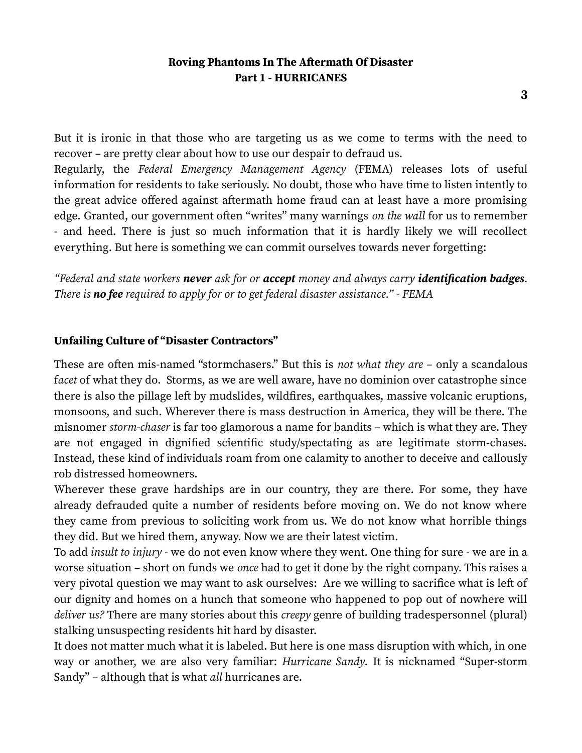But it is ironic in that those who are targeting us as we come to terms with the need to recover – are pretty clear about how to use our despair to defraud us.

Regularly, the *Federal Emergency Management Agency* (FEMA) releases lots of useful information for residents to take seriously. No doubt, those who have time to listen intently to the great advice offered against aftermath home fraud can at least have a more promising edge. Granted, our government often "writes" many warnings *on the wall* for us to remember - and heed. There is just so much information that it is hardly likely we will recollect everything. But here is something we can commit ourselves towards never forgetting:

*"Federal and state workers never ask for or accept money and always carry identification badges. There is no fee required to apply for or to get federal disaster assistance." - FEMA*

#### **Unfailing Culture of "Disaster Contractors"**

These are often mis-named "stormchasers." But this is *not what they are* – only a scandalous f*acet* of what they do. Storms, as we are well aware, have no dominion over catastrophe since there is also the pillage left by mudslides, wildfires, earthquakes, massive volcanic eruptions, monsoons, and such. Wherever there is mass destruction in America, they will be there. The misnomer *storm-chaser* is far too glamorous a name for bandits – which is what they are. They are not engaged in dignified scientific study/spectating as are legitimate storm-chases. Instead, these kind of individuals roam from one calamity to another to deceive and callously rob distressed homeowners.

Wherever these grave hardships are in our country, they are there. For some, they have already defrauded quite a number of residents before moving on. We do not know where they came from previous to soliciting work from us. We do not know what horrible things they did. But we hired them, anyway. Now we are their latest victim.

To add *insult to injury* - we do not even know where they went. One thing for sure - we are in a worse situation – short on funds we *once* had to get it done by the right company. This raises a very pivotal question we may want to ask ourselves: Are we willing to sacrifice what is left of our dignity and homes on a hunch that someone who happened to pop out of nowhere will *deliver us?* There are many stories about this *creepy* genre of building tradespersonnel (plural) stalking unsuspecting residents hit hard by disaster.

It does not matter much what it is labeled. But here is one mass disruption with which, in one way or another, we are also very familiar: *Hurricane Sandy.* It is nicknamed "Super-storm Sandy" – although that is what *all* hurricanes are.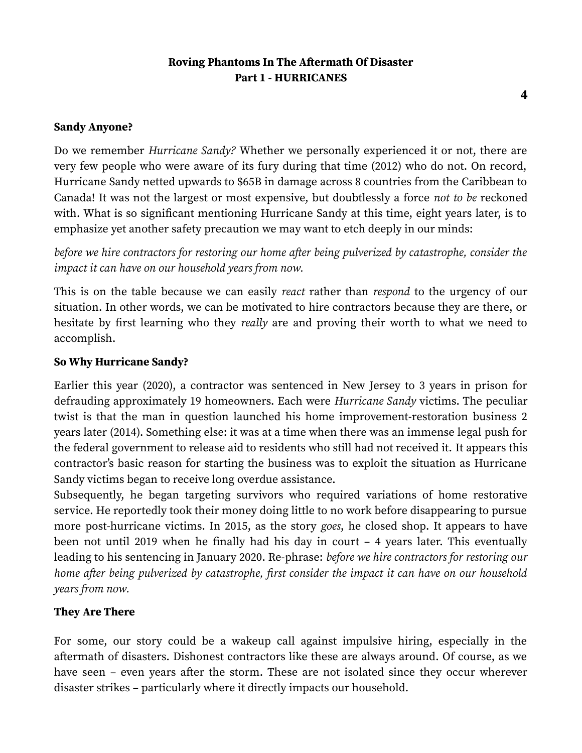#### **Sandy Anyone?**

Do we remember *Hurricane Sandy?* Whether we personally experienced it or not, there are very few people who were aware of its fury during that time (2012) who do not. On record, Hurricane Sandy netted upwards to \$65B in damage across 8 countries from the Caribbean to Canada! It was not the largest or most expensive, but doubtlessly a force *not to be* reckoned with. What is so significant mentioning Hurricane Sandy at this time, eight years later, is to emphasize yet another safety precaution we may want to etch deeply in our minds:

*before we hire contractors for restoring our home after being pulverized by catastrophe, consider the impact it can have on our household years from now.*

This is on the table because we can easily *react* rather than *respond* to the urgency of our situation. In other words, we can be motivated to hire contractors because they are there, or hesitate by first learning who they *really* are and proving their worth to what we need to accomplish.

#### **So Why Hurricane Sandy?**

Earlier this year (2020), a contractor was sentenced in New Jersey to 3 years in prison for defrauding approximately 19 homeowners. Each were *Hurricane Sandy* victims. The peculiar twist is that the man in question launched his home improvement-restoration business 2 years later (2014). Something else: it was at a time when there was an immense legal push for the federal government to release aid to residents who still had not received it. It appears this contractor's basic reason for starting the business was to exploit the situation as Hurricane Sandy victims began to receive long overdue assistance.

Subsequently, he began targeting survivors who required variations of home restorative service. He reportedly took their money doing little to no work before disappearing to pursue more post-hurricane victims. In 2015, as the story *goes*, he closed shop. It appears to have been not until 2019 when he finally had his day in court – 4 years later. This eventually leading to his sentencing in January 2020. Re-phrase: *before we hire contractors for restoring our home after being pulverized by catastrophe, first consider the impact it can have on our household years from now.*

#### **They Are There**

For some, our story could be a wakeup call against impulsive hiring, especially in the aftermath of disasters. Dishonest contractors like these are always around. Of course, as we have seen – even years after the storm. These are not isolated since they occur wherever disaster strikes – particularly where it directly impacts our household.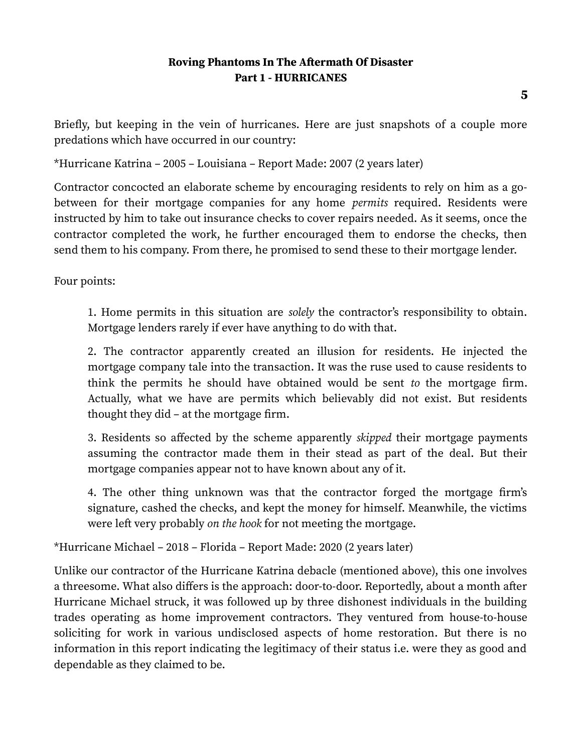Briefly, but keeping in the vein of hurricanes. Here are just snapshots of a couple more predations which have occurred in our country:

\*Hurricane Katrina – 2005 – Louisiana – Report Made: 2007 (2 years later)

Contractor concocted an elaborate scheme by encouraging residents to rely on him as a gobetween for their mortgage companies for any home *permits* required. Residents were instructed by him to take out insurance checks to cover repairs needed. As it seems, once the contractor completed the work, he further encouraged them to endorse the checks, then send them to his company. From there, he promised to send these to their mortgage lender.

Four points:

1. Home permits in this situation are *solely* the contractor's responsibility to obtain. Mortgage lenders rarely if ever have anything to do with that.

2. The contractor apparently created an illusion for residents. He injected the mortgage company tale into the transaction. It was the ruse used to cause residents to think the permits he should have obtained would be sent *to* the mortgage firm. Actually, what we have are permits which believably did not exist. But residents thought they did – at the mortgage firm.

3. Residents so affected by the scheme apparently *skipped* their mortgage payments assuming the contractor made them in their stead as part of the deal. But their mortgage companies appear not to have known about any of it.

4. The other thing unknown was that the contractor forged the mortgage firm's signature, cashed the checks, and kept the money for himself. Meanwhile, the victims were left very probably *on the hook* for not meeting the mortgage.

\*Hurricane Michael – 2018 – Florida – Report Made: 2020 (2 years later)

Unlike our contractor of the Hurricane Katrina debacle (mentioned above), this one involves a threesome. What also differs is the approach: door-to-door. Reportedly, about a month after Hurricane Michael struck, it was followed up by three dishonest individuals in the building trades operating as home improvement contractors. They ventured from house-to-house soliciting for work in various undisclosed aspects of home restoration. But there is no information in this report indicating the legitimacy of their status i.e. were they as good and dependable as they claimed to be.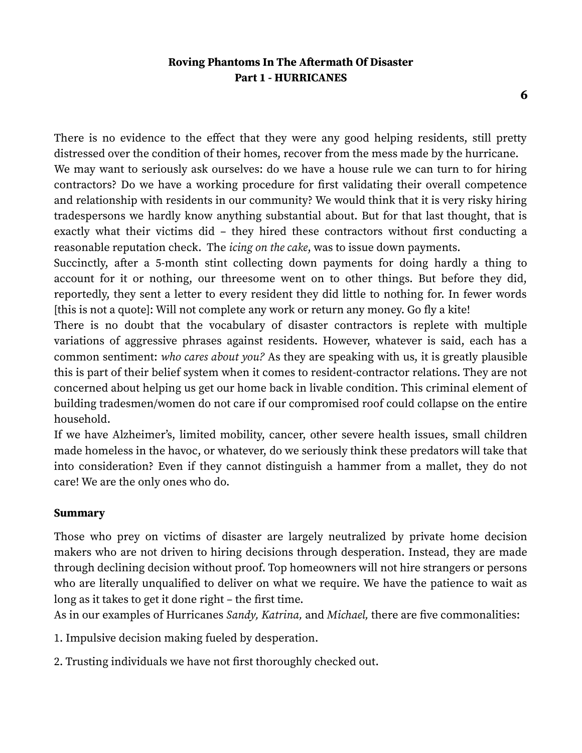There is no evidence to the effect that they were any good helping residents, still pretty distressed over the condition of their homes, recover from the mess made by the hurricane.

We may want to seriously ask ourselves: do we have a house rule we can turn to for hiring contractors? Do we have a working procedure for first validating their overall competence and relationship with residents in our community? We would think that it is very risky hiring tradespersons we hardly know anything substantial about. But for that last thought, that is exactly what their victims did – they hired these contractors without first conducting a reasonable reputation check. The *icing on the cake*, was to issue down payments.

Succinctly, after a 5-month stint collecting down payments for doing hardly a thing to account for it or nothing, our threesome went on to other things. But before they did, reportedly, they sent a letter to every resident they did little to nothing for. In fewer words [this is not a quote]: Will not complete any work or return any money. Go fly a kite!

There is no doubt that the vocabulary of disaster contractors is replete with multiple variations of aggressive phrases against residents. However, whatever is said, each has a common sentiment: *who cares about you?* As they are speaking with us, it is greatly plausible this is part of their belief system when it comes to resident-contractor relations. They are not concerned about helping us get our home back in livable condition. This criminal element of building tradesmen/women do not care if our compromised roof could collapse on the entire household.

If we have Alzheimer's, limited mobility, cancer, other severe health issues, small children made homeless in the havoc, or whatever, do we seriously think these predators will take that into consideration? Even if they cannot distinguish a hammer from a mallet, they do not care! We are the only ones who do.

#### **Summary**

Those who prey on victims of disaster are largely neutralized by private home decision makers who are not driven to hiring decisions through desperation. Instead, they are made through declining decision without proof. Top homeowners will not hire strangers or persons who are literally unqualified to deliver on what we require. We have the patience to wait as long as it takes to get it done right – the first time.

As in our examples of Hurricanes *Sandy, Katrina,* and *Michael,* there are five commonalities:

1. Impulsive decision making fueled by desperation.

2. Trusting individuals we have not first thoroughly checked out.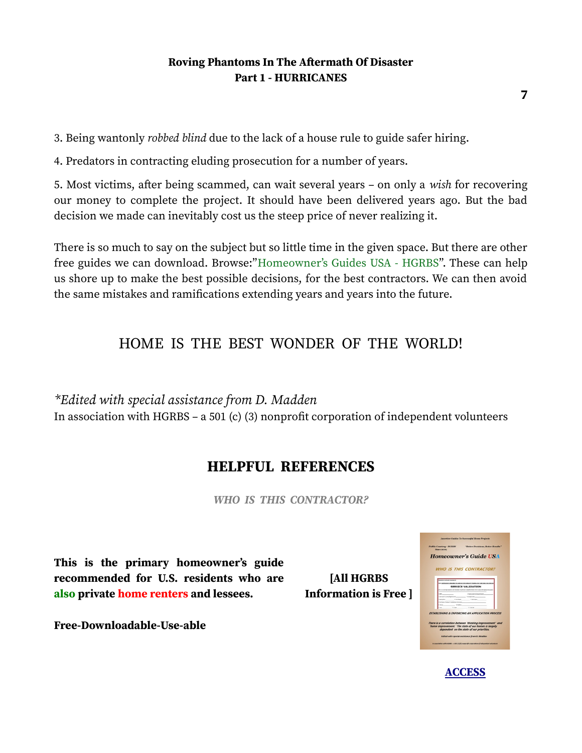3. Being wantonly *robbed blind* due to the lack of a house rule to guide safer hiring.

4. Predators in contracting eluding prosecution for a number of years.

5. Most victims, after being scammed, can wait several years – on only a *wish* for recovering our money to complete the project. It should have been delivered years ago. But the bad decision we made can inevitably cost us the steep price of never realizing it.

There is so much to say on the subject but so little time in the given space. But there are other free guides we can download. Browse:"Homeowner's Guides USA - HGRBS". These can help us shore up to make the best possible decisions, for the best contractors. We can then avoid the same mistakes and ramifications extending years and years into the future.

## HOME IS THE BEST WONDER OF THE WORLD!

*\*Edited with special assistance from D. Madden*  In association with HGRBS – a 501 (c) (3) nonprofit corporation of independent volunteers

## **HELPFUL REFERENCES**

*WHO IS THIS CONTRACTOR?*

**This is the primary homeowner's guide recommended for U.S. residents who are also private home renters and lessees.**

**Free-Downloadable-Use-able**

**[All HGRBS Information is Free ]** 

| <b>Public Coortesy - HGRBS</b><br>"Better Decisions, Better Results"<br>Since 2009<br><b>WHO IS THIS CONTRACTOR?</b><br>retiriary Contractor disposition<br>CONTINUES A REGISTER TO CHAPPER TO THE COMMON PROGRAM AND TO RETURN TWO CONTINUES.<br>SERVICE VALIDATION<br>All information must find the competition of the first terms further ground decuments<br>A few to work in the partners of<br>Company's Compilation Company (Company Company)<br>1. Lincolned 1<br>1. Deadline<br>tess mineral installation program<br>Sum 25,000 and 25,000 and 25,000 and 25,000 and 25,000 and 25,000 and 25,000 and 25,000 and 25,000 and 25,000<br><b>15 Suites</b><br><b>College</b><br>Case .<br>dependent on the state of our priorities. |
|------------------------------------------------------------------------------------------------------------------------------------------------------------------------------------------------------------------------------------------------------------------------------------------------------------------------------------------------------------------------------------------------------------------------------------------------------------------------------------------------------------------------------------------------------------------------------------------------------------------------------------------------------------------------------------------------------------------------------------------|
| <b>Homeowner's Guide USA</b><br><b>ESTARLISHING &amp; ENFORCING AN APPLICATION PROCESS</b><br>There is a correlation between 'thinking improvement' and<br>'home improvement.' The state of our homes is largely                                                                                                                                                                                                                                                                                                                                                                                                                                                                                                                         |
|                                                                                                                                                                                                                                                                                                                                                                                                                                                                                                                                                                                                                                                                                                                                          |
|                                                                                                                                                                                                                                                                                                                                                                                                                                                                                                                                                                                                                                                                                                                                          |
|                                                                                                                                                                                                                                                                                                                                                                                                                                                                                                                                                                                                                                                                                                                                          |
|                                                                                                                                                                                                                                                                                                                                                                                                                                                                                                                                                                                                                                                                                                                                          |
|                                                                                                                                                                                                                                                                                                                                                                                                                                                                                                                                                                                                                                                                                                                                          |
|                                                                                                                                                                                                                                                                                                                                                                                                                                                                                                                                                                                                                                                                                                                                          |
|                                                                                                                                                                                                                                                                                                                                                                                                                                                                                                                                                                                                                                                                                                                                          |
|                                                                                                                                                                                                                                                                                                                                                                                                                                                                                                                                                                                                                                                                                                                                          |
|                                                                                                                                                                                                                                                                                                                                                                                                                                                                                                                                                                                                                                                                                                                                          |
|                                                                                                                                                                                                                                                                                                                                                                                                                                                                                                                                                                                                                                                                                                                                          |
|                                                                                                                                                                                                                                                                                                                                                                                                                                                                                                                                                                                                                                                                                                                                          |
|                                                                                                                                                                                                                                                                                                                                                                                                                                                                                                                                                                                                                                                                                                                                          |
|                                                                                                                                                                                                                                                                                                                                                                                                                                                                                                                                                                                                                                                                                                                                          |
|                                                                                                                                                                                                                                                                                                                                                                                                                                                                                                                                                                                                                                                                                                                                          |
|                                                                                                                                                                                                                                                                                                                                                                                                                                                                                                                                                                                                                                                                                                                                          |
|                                                                                                                                                                                                                                                                                                                                                                                                                                                                                                                                                                                                                                                                                                                                          |
| Edited with special ossistance from D. Madden                                                                                                                                                                                                                                                                                                                                                                                                                                                                                                                                                                                                                                                                                            |
| in esseciation with MGRES - a SEE (ck)U nonprofit corporation of independent volunteers                                                                                                                                                                                                                                                                                                                                                                                                                                                                                                                                                                                                                                                  |